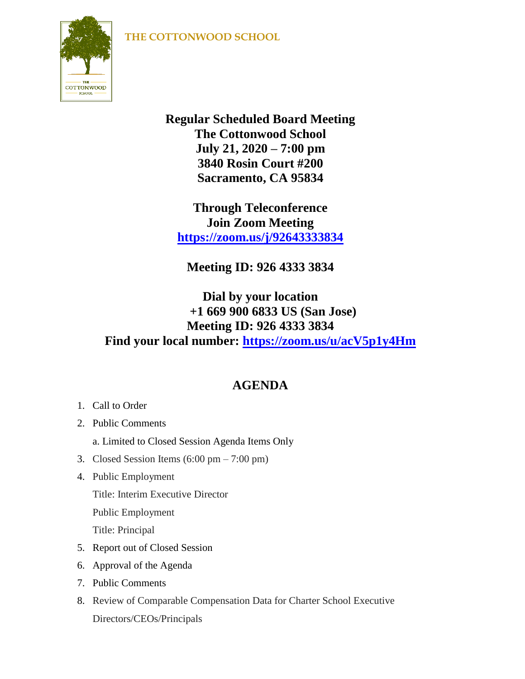## **THE COTTONWOOD SCHOOL**



**Regular Scheduled Board Meeting The Cottonwood School July 21, 2020 – 7:00 pm 3840 Rosin Court #200 Sacramento, CA 95834**

**Through Teleconference Join Zoom Meeting <https://zoom.us/j/92643333834>**

**Meeting ID: 926 4333 3834**

## **Dial by your location +1 669 900 6833 US (San Jose) Meeting ID: 926 4333 3834 Find your local number: <https://zoom.us/u/acV5p1y4Hm>**

## **AGENDA**

- 1. Call to Order
- 2. Public Comments
	- a. Limited to Closed Session Agenda Items Only
- 3. Closed Session Items  $(6:00 \text{ pm} 7:00 \text{ pm})$
- 4. Public Employment Title: Interim Executive Director Public Employment Title: Principal
- 5. Report out of Closed Session
- 6. Approval of the Agenda
- 7. Public Comments
- 8. Review of Comparable Compensation Data for Charter School Executive Directors/CEOs/Principals